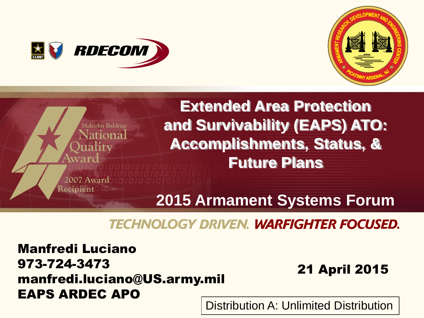





# **TECHNOLOGY DRIVEN. WARFIGHTER FOCUSED.**

Manfredi Luciano 973-724-3473 manfredi.luciano@US.army.mil EAPS ARDEC APO

# 21 April 2015

1 Distribution A: Unlimited Distribution Distribution A: Unlimited Distribution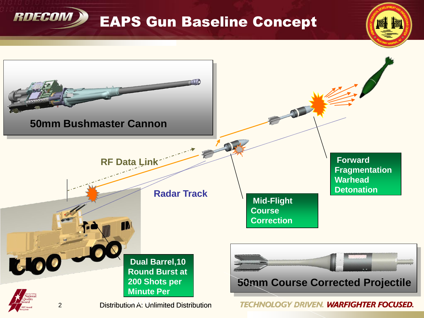

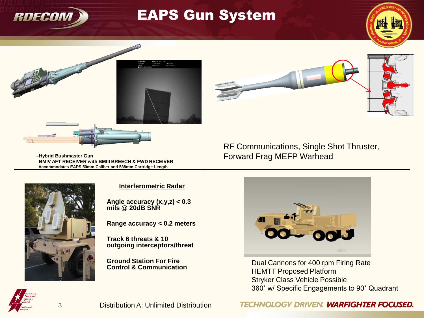

# EAPS Gun System





–**Hybrid Bushmaster Gun** –**BMIV AFT RECEIVER with BMIII BREECH & FWD RECEIVER** –**Accommodates EAPS 50mm Caliber and 538mm Cartridge Length**



#### **Interferometric Radar**

**Angle accuracy (x,y,z) < 0.3 mils @ 20dB SNR**

**Range accuracy < 0.2 meters**

**Track 6 threats & 10 outgoing interceptors/threat**

**Ground Station For Fire Control & Communication** RF Communications, Single Shot Thruster, Forward Frag MEFP Warhead



Dual Cannons for 400 rpm Firing Rate HEMTT Proposed Platform Stryker Class Vehicle Possible 360˚ w/ Specific Engagements to 90˚ Quadrant



**TECHNOLOGY DRIVEN. WARFIGHTER FOCUSED.**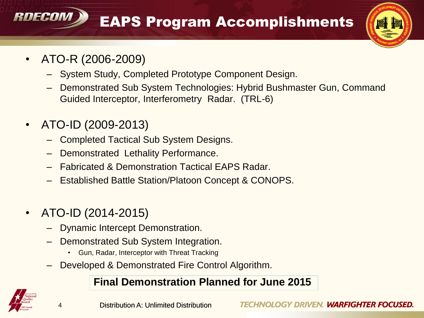EAPS Program Accomplishments



• ATO-R (2006-2009)

RNFCAM

- System Study, Completed Prototype Component Design.
- Demonstrated Sub System Technologies: Hybrid Bushmaster Gun, Command Guided Interceptor, Interferometry Radar. (TRL-6)
- ATO-ID (2009-2013)
	- Completed Tactical Sub System Designs.
	- Demonstrated Lethality Performance.
	- Fabricated & Demonstration Tactical EAPS Radar.
	- Established Battle Station/Platoon Concept & CONOPS.
- ATO-ID (2014-2015)
	- Dynamic Intercept Demonstration.
	- Demonstrated Sub System Integration.
		- Gun, Radar, Interceptor with Threat Tracking
	- Developed & Demonstrated Fire Control Algorithm.

#### **Final Demonstration Planned for June 2015**

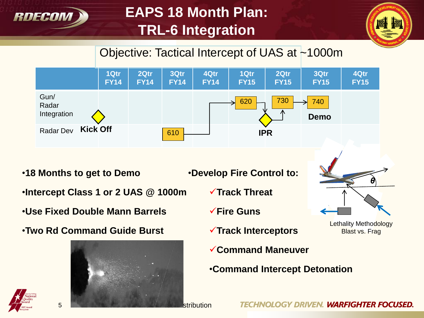

# **EAPS 18 Month Plan: TRL-6 Integration**



*θ*

**Lethality Methodology** Blast vs. Frag

# Objective: Tactical Intercept of UAS at ~1000m



•**18 Months to get to Demo**

- •**Develop Fire Control to:**
- •**Intercept Class 1 or 2 UAS @ 1000m**
- •**Use Fixed Double Mann Barrels**
- •**Two Rd Command Guide Burst**



- **Track Threat**
- **Fire Guns**
- **Track Interceptors**
- **Command Maneuver**
- •**Command Intercept Detonation**

TECHNOLOGY DRIVEN. WARFIGHTER FOCUSED.

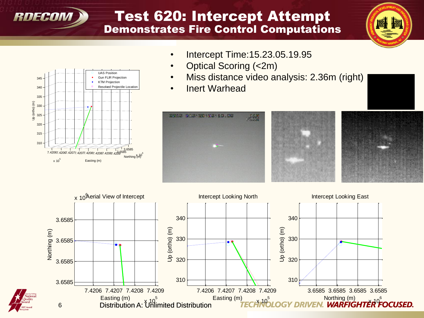

7.42067.42067.42077.42077.42087.42087.42087.4209 3.6585

Easting (m)

UAS Position Gun FLIR Projection KTM Projection Resolved Projectile Location

> 3.6585 <sup>s5</sup><br>Northing (m)<sup>6</sup>

 $x 10^5$ 

Up (ortho) (m)

### Test 620: Intercept Attempt Demonstrates Fire Control Computations



- Intercept Time: 15.23.05.19.95
- Optical Scoring (<2m)
- Miss distance video analysis: 2.36m (right)
- Inert Warhead